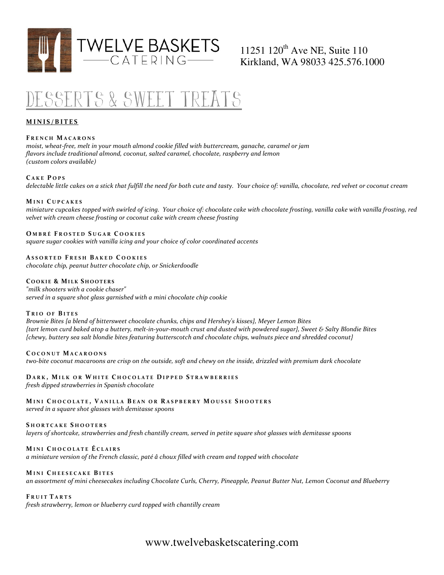

# 11251 120<sup>th</sup> Ave NE, Suite 110 Kirkland, WA 98033 425.576.1000

# Desserts & Sweet Treats

# MINIS/BITES

## FRENCH MACARONS

moist, wheat-free, melt in your mouth almond cookie filled with buttercream, ganache, caramel or jam flavors include traditional almond, coconut, salted caramel, chocolate, raspberry and lemon (custom colors available)

## CAKE POPS

delectable little cakes on a stick that fulfill the need for both cute and tasty. Your choice of: vanilla, chocolate, red velvet or coconut cream

#### MINI CUPCAKES

miniature cupcakes topped with swirled of icing. Your choice of: chocolate cake with chocolate frosting, vanilla cake with vanilla frosting, red velvet with cream cheese frosting or coconut cake with cream cheese frosting

# OMBRÉ FROSTED SUGAR COOKIES

square sugar cookies with vanilla icing and your choice of color coordinated accents

## ASSORTED FRESH BAKED COOKIES

chocolate chip, peanut butter chocolate chip, or Snickerdoodle

## COOKIE & MILK SHOOTERS

"milk shooters with a cookie chaser" served in a square shot glass garnished with a mini chocolate chip cookie

#### TRIO OF BITES

Brownie Bites {a blend of bittersweet chocolate chunks, chips and Hershey's kisses}, Meyer Lemon Bites {tart lemon curd baked atop a buttery, melt-in-your-mouth crust and dusted with powdered sugar}, Sweet & Salty Blondie Bites {chewy, buttery sea salt blondie bites featuring butterscotch and chocolate chips, walnuts piece and shredded coconut}

#### COCONUT MACAROONS

tw0-bite coconut macaroons are crisp on the outside, soft and chewy on the inside, drizzled with premium dark chocolate

#### DARK, MILK OR WHITE CHOCOLATE DIPPED STRAWBERRIES fresh dipped strawberries in Spanish chocolate

MINI CHOCOLATE, VANILLA BEAN OR RASPBERRY MOUSSE SHOOTERS served in a square shot glasses with demitasse spoons

#### SHORTCAKE SHOOTERS

layers of shortcake, strawberries and fresh chantilly cream, served in petite square shot glasses with demitasse spoons

# MINI CHOCOLATE ÉCLAIRS

a miniature version of the French classic, paté â choux filled with cream and topped with chocolate

#### MINI CHEESECAKE BITES

an assortment of mini cheesecakes including Chocolate Curls, Cherry, Pineapple, Peanut Butter Nut, Lemon Coconut and Blueberry

#### FRUIT TARTS

fresh strawberry, lemon or blueberry curd topped with chantilly cream

# www.twelvebasketscatering.com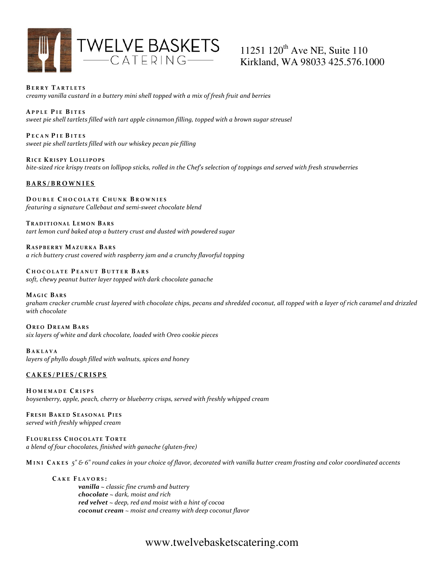

# 11251 120<sup>th</sup> Ave NE, Suite 110 Kirkland, WA 98033 425.576.1000

BERRY TARTLETS creamy vanilla custard in a buttery mini shell topped with a mix of fresh fruit and berries

APPLE PIE BITES sweet pie shell tartlets filled with tart apple cinnamon filling, topped with a brown sugar streusel

PECAN PIE BITES sweet pie shell tartlets filled with our whiskey pecan pie filling

RICE KRISPY LOLLIPOPS bite-sized rice krispy treats on lollipop sticks, rolled in the Chef's selection of toppings and served with fresh strawberries

# BARS/BROWNIES

DOUBLE CHOCOLATE CHUNK BROWNIES featuring a signature Callebaut and semi-sweet chocolate blend

TRADITIONAL LEMON BARS

tart lemon curd baked atop a buttery crust and dusted with powdered sugar

RASPBERRY MAZURKA BARS a rich buttery crust covered with raspberry jam and a crunchy flavorful topping

CHOCOLATE PEANUT BUTTER BARS soft, chewy peanut butter layer topped with dark chocolate ganache

#### **MAGIC BARS**

graham cracker crumble crust layered with chocolate chips, pecans and shredded coconut, all topped with a layer of rich caramel and drizzled with chocolate

OREO DREAM BARS six layers of white and dark chocolate, loaded with Oreo cookie pieces

B A K L A V A layers of phyllo dough filled with walnuts, spices and honey

# CAKES/PIES/CRISPS

HOMEMADE CRISPS boysenberry, apple, peach, cherry or blueberry crisps, served with freshly whipped cream

FRESH BAKED SEASONAL PIES served with freshly whipped cream

FLOURLESS CHOCOLATE TORTE a blend of four chocolates, finished with ganache (gluten-free)

MINI CAKES  $5''$  & 6" round cakes in your choice of flavor, decorated with vanilla butter cream frosting and color coordinated accents

CAKE FLAVORS: **vanilla**  $\sim$  classic fine crumb and buttery  $chocolate \sim dark$ , moist and rich red velvet  $\sim$  deep, red and moist with a hint of cocoa coconut cream ~ moist and creamy with deep coconut flavor

# www.twelvebasketscatering.com